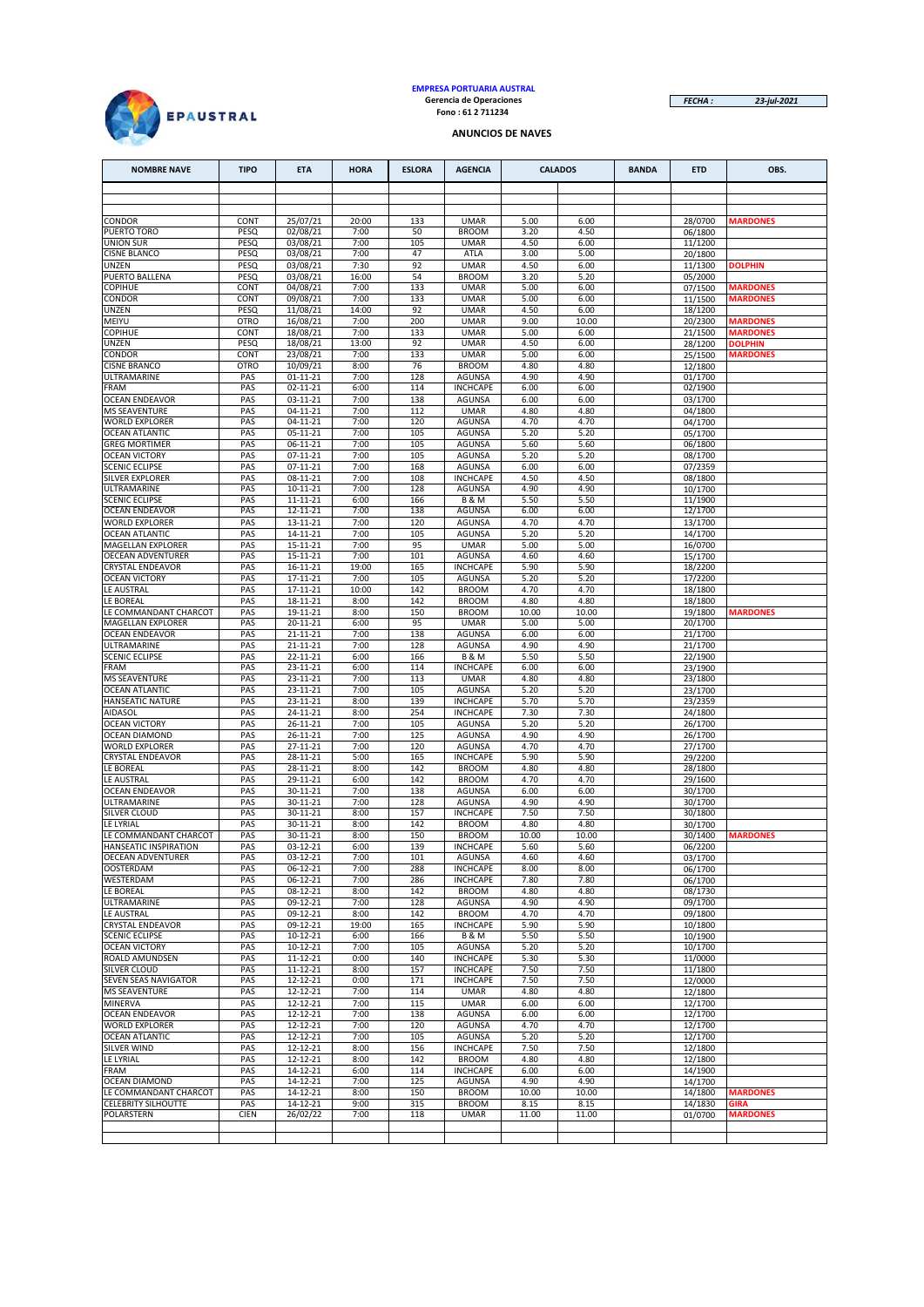

# **EMPRESA PORTUARIA AUSTRAL Gerencia de Operaciones Fono : 61 2 711234**

*FECHA : 23-jul-2021*

### **ANUNCIOS DE NAVES**

| <b>NOMBRE NAVE</b>                            | <b>TIPO</b>  | <b>ETA</b>                 | <b>HORA</b>   | <b>ESLORA</b> | <b>AGENCIA</b>                     | <b>CALADOS</b> |               | <b>BANDA</b> | <b>ETD</b>         | OBS.                              |
|-----------------------------------------------|--------------|----------------------------|---------------|---------------|------------------------------------|----------------|---------------|--------------|--------------------|-----------------------------------|
|                                               |              |                            |               |               |                                    |                |               |              |                    |                                   |
|                                               |              |                            |               |               |                                    |                |               |              |                    |                                   |
| CONDOR                                        | CONT         | 25/07/21                   | 20:00         | 133           | <b>UMAR</b>                        | 5.00           | 6.00          |              | 28/0700            | <b>MARDONES</b>                   |
| PUERTO TORO<br><b>UNION SUR</b>               | PESQ<br>PESQ | 02/08/21<br>03/08/21       | 7:00<br>7:00  | 50<br>105     | <b>BROOM</b><br><b>UMAR</b>        | 3.20<br>4.50   | 4.50<br>6.00  |              | 06/1800<br>11/1200 |                                   |
| <b>CISNE BLANCO</b>                           | PESQ         | 03/08/21                   | 7:00          | 47            | ATLA                               | 3.00           | 5.00          |              | 20/1800            |                                   |
| UNZEN                                         | PESQ         | 03/08/21                   | 7:30          | 92            | <b>UMAR</b>                        | 4.50           | 6.00          |              | 11/1300            | <b>DOLPHIN</b>                    |
| PUERTO BALLENA<br><b>COPIHUE</b>              | PESQ<br>CONT | 03/08/21<br>04/08/21       | 16:00<br>7:00 | 54<br>133     | <b>BROOM</b><br><b>UMAR</b>        | 3.20<br>5.00   | 5.20<br>6.00  |              | 05/2000<br>07/1500 | <b>MARDONES</b>                   |
| CONDOR                                        | CONT         | 09/08/21                   | 7:00          | 133           | <b>UMAR</b>                        | 5.00           | 6.00          |              | 11/1500            | <b>MARDONES</b>                   |
| UNZEN                                         | PESQ         | 11/08/21                   | 14:00         | 92            | <b>UMAR</b>                        | 4.50           | 6.00          |              | 18/1200            |                                   |
| MEIYU                                         | <b>OTRO</b>  | 16/08/21                   | 7:00          | 200           | <b>UMAR</b>                        | 9.00           | 10.00         |              | 20/2300            | <b>MARDONES</b>                   |
| COPIHUE<br>UNZEN                              | CONT<br>PESQ | 18/08/21<br>18/08/21       | 7:00<br>13:00 | 133<br>92     | <b>UMAR</b><br><b>UMAR</b>         | 5.00<br>4.50   | 6.00<br>6.00  |              | 21/1500<br>28/1200 | <b>MARDONES</b><br><b>DOLPHIN</b> |
| CONDOR                                        | CONT         | 23/08/21                   | 7:00          | 133           | <b>UMAR</b>                        | 5.00           | 6.00          |              | 25/1500            | <b>MARDONES</b>                   |
| <b>CISNE BRANCO</b>                           | <b>OTRO</b>  | 10/09/21                   | 8:00          | 76            | <b>BROOM</b>                       | 4.80           | 4.80          |              | 12/1800            |                                   |
| ULTRAMARINE<br><b>FRAM</b>                    | PAS<br>PAS   | $01 - 11 - 21$<br>02-11-21 | 7:00<br>6:00  | 128<br>114    | <b>AGUNSA</b><br><b>INCHCAPE</b>   | 4.90<br>6.00   | 4.90<br>6.00  |              | 01/1700<br>02/1900 |                                   |
| <b>OCEAN ENDEAVOR</b>                         | PAS          | 03-11-21                   | 7:00          | 138           | <b>AGUNSA</b>                      | 6.00           | 6.00          |              | 03/1700            |                                   |
| <b>MS SEAVENTURE</b>                          | PAS          | 04-11-21                   | 7:00          | 112           | <b>UMAR</b>                        | 4.80           | 4.80          |              | 04/1800            |                                   |
| <b>WORLD EXPLORER</b>                         | PAS          | 04-11-21                   | 7:00          | 120           | <b>AGUNSA</b>                      | 4.70           | 4.70          |              | 04/1700            |                                   |
| <b>OCEAN ATLANTIC</b><br><b>GREG MORTIMER</b> | PAS<br>PAS   | 05-11-21<br>06-11-21       | 7:00<br>7:00  | 105<br>105    | <b>AGUNSA</b><br>AGUNSA            | 5.20<br>5.60   | 5.20<br>5.60  |              | 05/1700<br>06/1800 |                                   |
| <b>OCEAN VICTORY</b>                          | PAS          | 07-11-21                   | 7:00          | 105           | <b>AGUNSA</b>                      | 5.20           | 5.20          |              | 08/1700            |                                   |
| <b>SCENIC ECLIPSE</b>                         | PAS          | 07-11-21                   | 7:00          | 168           | <b>AGUNSA</b>                      | 6.00           | 6.00          |              | 07/2359            |                                   |
| <b>SILVER EXPLORER</b>                        | PAS          | 08-11-21                   | 7:00          | 108           | <b>INCHCAPE</b>                    | 4.50           | 4.50          |              | 08/1800            |                                   |
| ULTRAMARINE<br><b>SCENIC ECLIPSE</b>          | PAS<br>PAS   | 10-11-21<br>11-11-21       | 7:00<br>6:00  | 128<br>166    | <b>AGUNSA</b><br><b>B&amp;M</b>    | 4.90<br>5.50   | 4.90<br>5.50  |              | 10/1700<br>11/1900 |                                   |
| <b>OCEAN ENDEAVOR</b>                         | PAS          | 12-11-21                   | 7:00          | 138           | <b>AGUNSA</b>                      | 6.00           | 6.00          |              | 12/1700            |                                   |
| <b>WORLD EXPLORER</b>                         | PAS          | 13-11-21                   | 7:00          | 120           | <b>AGUNSA</b>                      | 4.70           | 4.70          |              | 13/1700            |                                   |
| <b>OCEAN ATLANTIC</b>                         | PAS          | 14-11-21                   | 7:00          | 105           | <b>AGUNSA</b>                      | 5.20           | 5.20          |              | 14/1700            |                                   |
| MAGELLAN EXPLORER<br>OECEAN ADVENTURER        | PAS<br>PAS   | 15-11-21<br>15-11-21       | 7:00<br>7:00  | 95<br>101     | <b>UMAR</b><br>AGUNSA              | 5.00<br>4.60   | 5.00<br>4.60  |              | 16/0700<br>15/1700 |                                   |
| <b>CRYSTAL ENDEAVOR</b>                       | PAS          | 16-11-21                   | 19:00         | 165           | <b>INCHCAPE</b>                    | 5.90           | 5.90          |              | 18/2200            |                                   |
| <b>OCEAN VICTORY</b>                          | PAS          | 17-11-21                   | 7:00          | 105           | <b>AGUNSA</b>                      | 5.20           | 5.20          |              | 17/2200            |                                   |
| LE AUSTRAL                                    | PAS          | 17-11-21                   | 10:00         | 142           | <b>BROOM</b>                       | 4.70           | 4.70          |              | 18/1800            |                                   |
| LE BOREAL<br>LE COMMANDANT CHARCOT            | PAS<br>PAS   | 18-11-21<br>19-11-21       | 8:00<br>8:00  | 142<br>150    | <b>BROOM</b><br><b>BROOM</b>       | 4.80<br>10.00  | 4.80<br>10.00 |              | 18/1800<br>19/1800 | <b>MARDONES</b>                   |
| MAGELLAN EXPLORER                             | PAS          | 20-11-21                   | 6:00          | 95            | <b>UMAR</b>                        | 5.00           | 5.00          |              | 20/1700            |                                   |
| <b>OCEAN ENDEAVOR</b>                         | PAS          | 21-11-21                   | 7:00          | 138           | <b>AGUNSA</b>                      | 6.00           | 6.00          |              | 21/1700            |                                   |
| ULTRAMARINE                                   | PAS          | 21-11-21                   | 7:00          | 128           | <b>AGUNSA</b>                      | 4.90           | 4.90          |              | 21/1700            |                                   |
| <b>SCENIC ECLIPSE</b><br><b>FRAM</b>          | PAS<br>PAS   | 22-11-21<br>23-11-21       | 6:00<br>6:00  | 166<br>114    | <b>B&amp;M</b><br><b>INCHCAPE</b>  | 5.50<br>6.00   | 5.50<br>6.00  |              | 22/1900<br>23/1900 |                                   |
| <b>MS SEAVENTURE</b>                          | PAS          | 23-11-21                   | 7:00          | 113           | <b>UMAR</b>                        | 4.80           | 4.80          |              | 23/1800            |                                   |
| <b>OCEAN ATLANTIC</b>                         | PAS          | 23-11-21                   | 7:00          | 105           | <b>AGUNSA</b>                      | 5.20           | 5.20          |              | 23/1700            |                                   |
| <b>HANSEATIC NATURE</b><br><b>AIDASOL</b>     | PAS<br>PAS   | 23-11-21<br>24-11-21       | 8:00<br>8:00  | 139<br>254    | <b>INCHCAPE</b><br><b>INCHCAPE</b> | 5.70<br>7.30   | 5.70<br>7.30  |              | 23/2359<br>24/1800 |                                   |
| <b>OCEAN VICTORY</b>                          | PAS          | 26-11-21                   | 7:00          | 105           | AGUNSA                             | 5.20           | 5.20          |              | 26/1700            |                                   |
| <b>OCEAN DIAMOND</b>                          | PAS          | 26-11-21                   | 7:00          | 125           | AGUNSA                             | 4.90           | 4.90          |              | 26/1700            |                                   |
| <b>WORLD EXPLORER</b>                         | PAS          | 27-11-21                   | 7:00          | 120           | <b>AGUNSA</b>                      | 4.70           | 4.70          |              | 27/1700            |                                   |
| <b>CRYSTAL ENDEAVOR</b><br>LE BOREAL          | PAS<br>PAS   | 28-11-21<br>28-11-21       | 5:00<br>8:00  | 165<br>142    | <b>INCHCAPE</b><br><b>BROOM</b>    | 5.90<br>4.80   | 5.90<br>4.80  |              | 29/2200<br>28/1800 |                                   |
| LE AUSTRAL                                    | PAS          | 29-11-21                   | 6:00          | 142           | <b>BROOM</b>                       | 4.70           | 4.70          |              | 29/1600            |                                   |
| <b>OCEAN ENDEAVOR</b>                         | PAS          | 30-11-21                   | 7:00          | 138           | AGUNSA                             | 6.00           | 6.00          |              | 30/1700            |                                   |
| ULTRAMARINE<br>SILVER CLOUD                   | PAS<br>PAS   | 30-11-21<br>30-11-21       | 7:00<br>8:00  | 128<br>157    | <b>AGUNSA</b><br><b>INCHCAPE</b>   | 4.90<br>7.50   | 4.90<br>7.50  |              | 30/1700            |                                   |
| LE LYRIAL                                     | PAS          | 30-11-21                   | 8:00          | 142           | <b>BROOM</b>                       | 4.80           | 4.80          |              | 30/1800<br>30/1700 |                                   |
| LE COMMANDANT CHARCOT                         | PAS          | 30-11-21                   | 8:00          | 150           | <b>BROOM</b>                       | 10.00          | 10.00         |              | 30/1400            | <b>MARDONES</b>                   |
| HANSEATIC INSPIRATION                         | PAS          | 03-12-21                   | 6:00          | 139           | <b>INCHCAPE</b>                    | 5.60           | 5.60          |              | 06/2200            |                                   |
| <b>OECEAN ADVENTURER</b><br><b>OOSTERDAM</b>  | PAS<br>PAS   | 03-12-21<br>06-12-21       | 7:00<br>7:00  | 101<br>288    | <b>AGUNSA</b><br><b>INCHCAPE</b>   | 4.60<br>8.00   | 4.60<br>8.00  |              | 03/1700<br>06/1700 |                                   |
| WESTERDAM                                     | PAS          | 06-12-21                   | 7:00          | 286           | <b>INCHCAPE</b>                    | 7.80           | 7.80          |              | 06/1700            |                                   |
| LE BOREAL                                     | PAS          | 08-12-21                   | 8:00          | 142           | <b>BROOM</b>                       | 4.80           | 4.80          |              | 08/1730            |                                   |
| ULTRAMARINE<br>LE AUSTRAL                     | PAS<br>PAS   | 09-12-21<br>09-12-21       | 7:00<br>8:00  | 128<br>142    | AGUNSA<br><b>BROOM</b>             | 4.90<br>4.70   | 4.90<br>4.70  |              | 09/1700<br>09/1800 |                                   |
| <b>CRYSTAL ENDEAVOR</b>                       | PAS          | 09-12-21                   | 19:00         | 165           | <b>INCHCAPE</b>                    | 5.90           | 5.90          |              | 10/1800            |                                   |
| <b>SCENIC ECLIPSE</b>                         | PAS          | 10-12-21                   | 6:00          | 166           | <b>B&amp;M</b>                     | 5.50           | 5.50          |              | 10/1900            |                                   |
| <b>OCEAN VICTORY</b>                          | PAS          | 10-12-21                   | 7:00          | 105           | AGUNSA                             | 5.20           | 5.20          |              | 10/1700            |                                   |
| ROALD AMUNDSEN<br><b>SILVER CLOUD</b>         | PAS<br>PAS   | $11 - 12 - 21$<br>11-12-21 | 0:00<br>8:00  | 140<br>157    | <b>INCHCAPE</b><br><b>INCHCAPE</b> | 5.30<br>7.50   | 5.30<br>7.50  |              | 11/0000<br>11/1800 |                                   |
| SEVEN SEAS NAVIGATOR                          | PAS          | 12-12-21                   | 0:00          | 171           | <b>INCHCAPE</b>                    | 7.50           | 7.50          |              | 12/0000            |                                   |
| <b>MS SEAVENTURE</b>                          | PAS          | $12 - 12 - 21$             | 7:00          | 114           | <b>UMAR</b>                        | 4.80           | 4.80          |              | 12/1800            |                                   |
| <b>MINERVA</b>                                | PAS          | 12-12-21                   | 7:00          | 115           | <b>UMAR</b>                        | 6.00           | 6.00          |              | 12/1700            |                                   |
| OCEAN ENDEAVOR<br><b>WORLD EXPLORER</b>       | PAS<br>PAS   | 12-12-21<br>12-12-21       | 7:00<br>7:00  | 138<br>120    | <b>AGUNSA</b><br>AGUNSA            | 6.00<br>4.70   | 6.00<br>4.70  |              | 12/1700<br>12/1700 |                                   |
| <b>OCEAN ATLANTIC</b>                         | PAS          | 12-12-21                   | 7:00          | 105           | <b>AGUNSA</b>                      | 5.20           | 5.20          |              | 12/1700            |                                   |
| SILVER WIND                                   | PAS          | 12-12-21                   | 8:00          | 156           | <b>INCHCAPE</b>                    | 7.50           | 7.50          |              | 12/1800            |                                   |
| LE LYRIAL                                     | PAS          | 12-12-21                   | 8:00          | 142           | <b>BROOM</b>                       | 4.80           | 4.80          |              | 12/1800            |                                   |
| FRAM<br><b>OCEAN DIAMOND</b>                  | PAS<br>PAS   | 14-12-21<br>14-12-21       | 6:00<br>7:00  | 114<br>125    | <b>INCHCAPE</b><br>AGUNSA          | 6.00<br>4.90   | 6.00<br>4.90  |              | 14/1900<br>14/1700 |                                   |
| LE COMMANDANT CHARCOT                         | PAS          | 14-12-21                   | 8:00          | 150           | <b>BROOM</b>                       | 10.00          | 10.00         |              | 14/1800            | <b>MARDONES</b>                   |
| <b>CELEBRITY SILHOUTTE</b>                    | PAS          | 14-12-21                   | 9:00          | 315           | <b>BROOM</b>                       | 8.15           | 8.15          |              | 14/1830            | <b>GIRA</b>                       |
| POLARSTERN                                    | <b>CIEN</b>  | 26/02/22                   | 7:00          | 118           | <b>UMAR</b>                        | 11.00          | 11.00         |              | 01/0700            | <b>MARDONES</b>                   |
|                                               |              |                            |               |               |                                    |                |               |              |                    |                                   |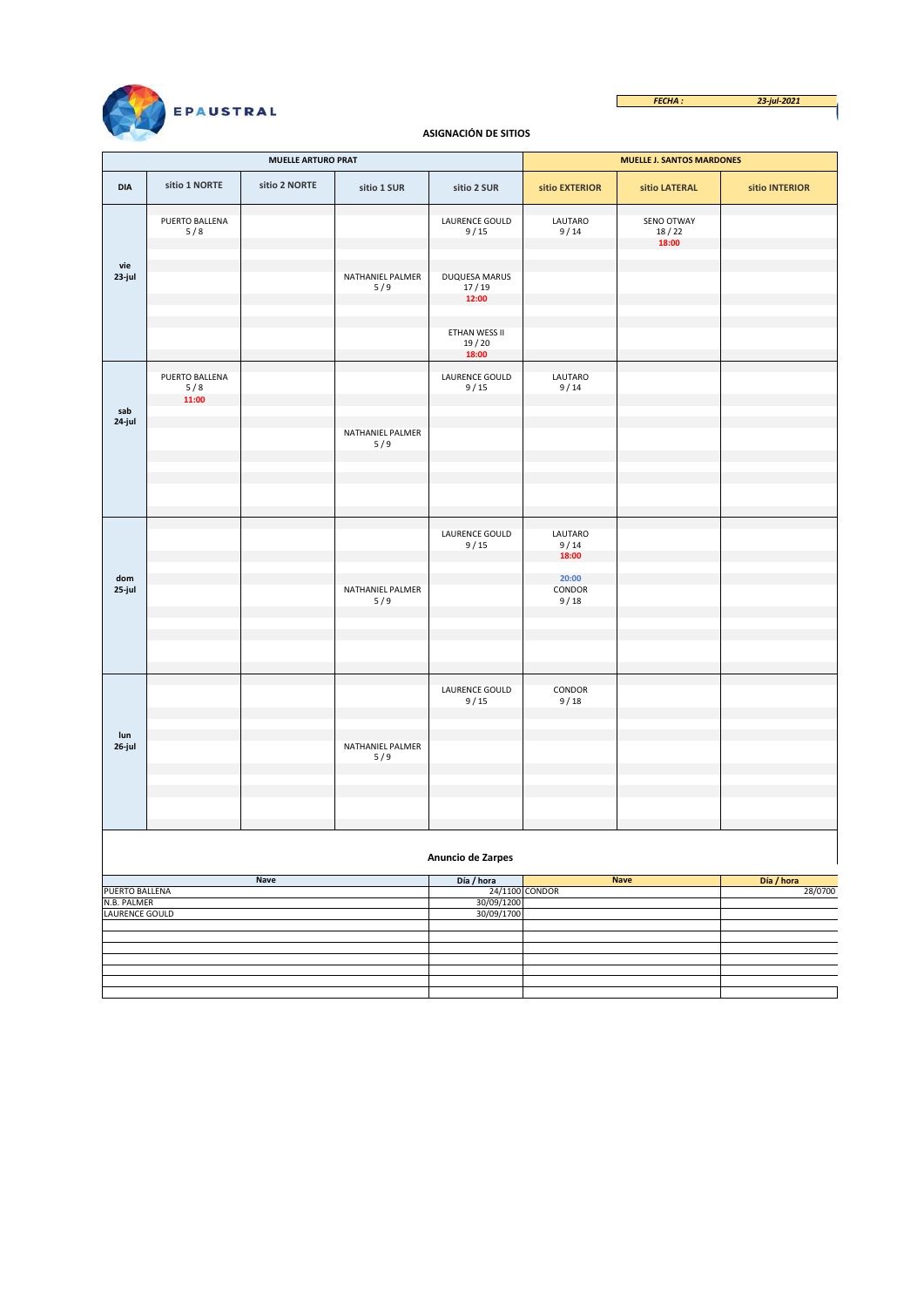*FECHA : 23-jul-2021*  $\overline{\phantom{a}}$ 



# **ASIGNACIÓN DE SITIOS**

|                               |                                | <b>MUELLE ARTURO PRAT</b> |                         |                                 | <b>MUELLE J. SANTOS MARDONES</b> |                              |                |  |  |  |  |
|-------------------------------|--------------------------------|---------------------------|-------------------------|---------------------------------|----------------------------------|------------------------------|----------------|--|--|--|--|
| <b>DIA</b>                    | sitio 1 NORTE                  | sitio 2 NORTE             | sitio 1 SUR             | sitio 2 SUR                     | sitio EXTERIOR                   | sitio LATERAL                | sitio INTERIOR |  |  |  |  |
|                               | PUERTO BALLENA<br>5/8          |                           |                         | LAURENCE GOULD<br>9/15          | LAUTARO<br>9/14                  | SENO OTWAY<br>18/22<br>18:00 |                |  |  |  |  |
| vie<br>23-jul                 |                                |                           | NATHANIEL PALMER<br>5/9 | DUQUESA MARUS<br>17/19<br>12:00 |                                  |                              |                |  |  |  |  |
|                               |                                |                           |                         | ETHAN WESS II<br>19/20<br>18:00 |                                  |                              |                |  |  |  |  |
| sab                           | PUERTO BALLENA<br>5/8<br>11:00 |                           |                         | LAURENCE GOULD<br>9/15          | LAUTARO<br>9/14                  |                              |                |  |  |  |  |
| 24-jul                        |                                |                           | NATHANIEL PALMER<br>5/9 |                                 |                                  |                              |                |  |  |  |  |
|                               |                                |                           |                         |                                 |                                  |                              |                |  |  |  |  |
|                               |                                |                           |                         | LAURENCE GOULD<br>9/15          | LAUTARO<br>9/14<br>18:00         |                              |                |  |  |  |  |
| dom<br>25-jul                 |                                |                           | NATHANIEL PALMER<br>5/9 |                                 | 20:00<br>CONDOR<br>9/18          |                              |                |  |  |  |  |
|                               |                                |                           |                         |                                 |                                  |                              |                |  |  |  |  |
| lun                           |                                |                           |                         | LAURENCE GOULD<br>9/15          | CONDOR<br>9/18                   |                              |                |  |  |  |  |
| 26-jul                        |                                |                           | NATHANIEL PALMER<br>5/9 |                                 |                                  |                              |                |  |  |  |  |
|                               |                                |                           |                         |                                 |                                  |                              |                |  |  |  |  |
|                               | Anuncio de Zarpes              |                           |                         |                                 |                                  |                              |                |  |  |  |  |
|                               |                                | <b>Nave</b>               |                         | Día / hora                      |                                  | <b>Nave</b>                  | Día / hora     |  |  |  |  |
| PUERTO BALLENA                |                                |                           |                         |                                 | 24/1100 CONDOR                   |                              | 28/0700        |  |  |  |  |
| N.B. PALMER<br>LAURENCE GOULD |                                |                           |                         | 30/09/1200<br>30/09/1700        |                                  |                              |                |  |  |  |  |
|                               |                                |                           |                         |                                 |                                  |                              |                |  |  |  |  |
|                               |                                |                           |                         |                                 |                                  |                              |                |  |  |  |  |
|                               |                                |                           |                         |                                 |                                  |                              |                |  |  |  |  |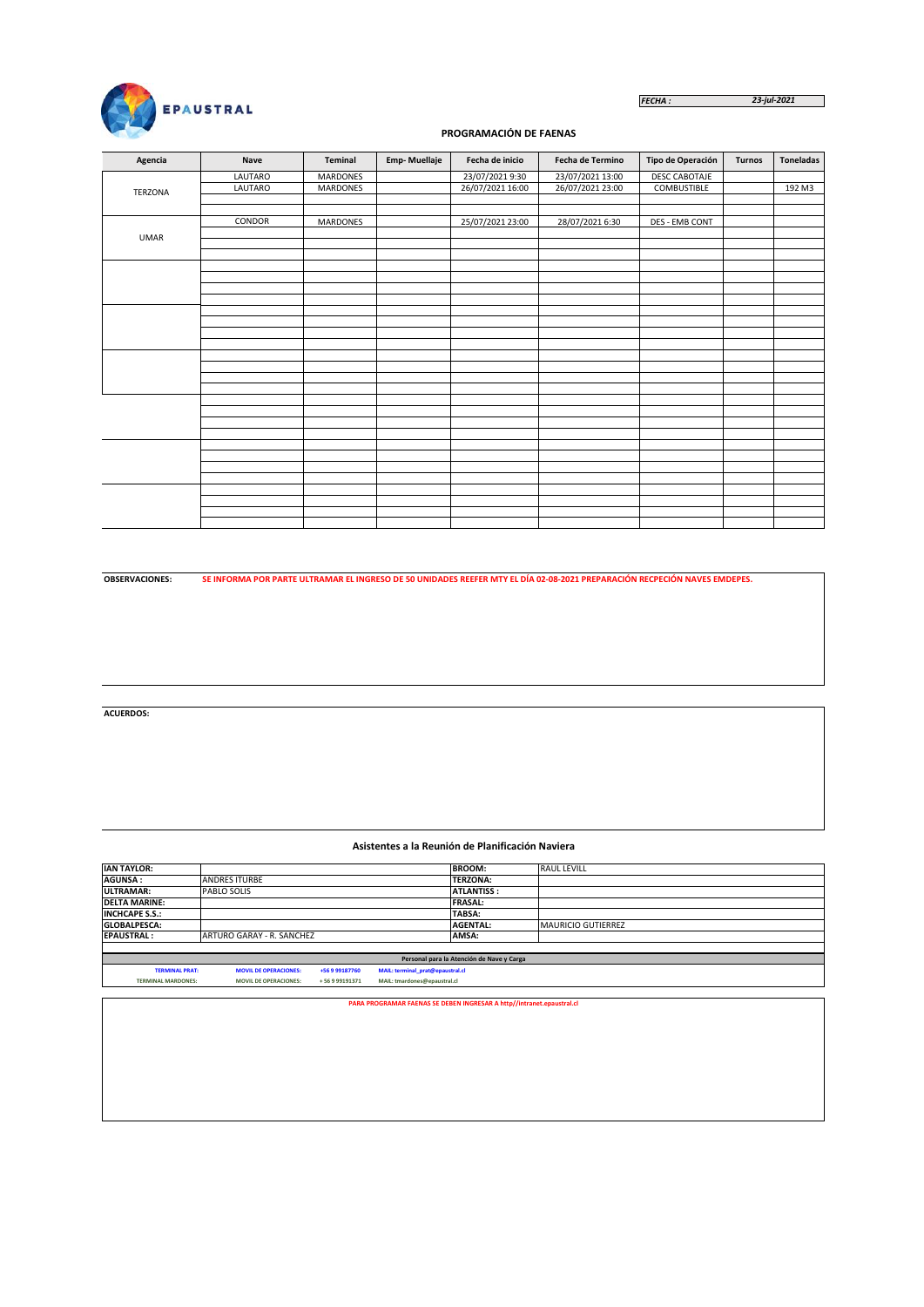

#### *FECHA : 23-jul-2021*

# **PROGRAMACIÓN DE FAENAS**

| Agencia        | Nave    | Teminal         | <b>Emp-Muellaje</b> | Fecha de inicio  | Fecha de Termino | Tipo de Operación     | <b>Turnos</b> | <b>Toneladas</b> |
|----------------|---------|-----------------|---------------------|------------------|------------------|-----------------------|---------------|------------------|
|                | LAUTARO | MARDONES        |                     | 23/07/2021 9:30  | 23/07/2021 13:00 | DESC CABOTAJE         |               |                  |
| <b>TERZONA</b> | LAUTARO | <b>MARDONES</b> |                     | 26/07/2021 16:00 | 26/07/2021 23:00 | COMBUSTIBLE           |               | 192 M3           |
|                |         |                 |                     |                  |                  |                       |               |                  |
|                |         |                 |                     |                  |                  |                       |               |                  |
|                | CONDOR  | <b>MARDONES</b> |                     | 25/07/2021 23:00 | 28/07/2021 6:30  |                       |               |                  |
| <b>UMAR</b>    |         |                 |                     |                  |                  |                       |               |                  |
|                |         |                 |                     |                  |                  |                       |               |                  |
|                |         |                 |                     |                  |                  | <b>DES - EMB CONT</b> |               |                  |
|                |         |                 |                     |                  |                  |                       |               |                  |
|                |         |                 |                     |                  |                  |                       |               |                  |
|                |         |                 |                     |                  |                  |                       |               |                  |
|                |         |                 |                     |                  |                  |                       |               |                  |
|                |         |                 |                     |                  |                  |                       |               |                  |
|                |         |                 |                     |                  |                  |                       |               |                  |
|                |         |                 |                     |                  |                  |                       |               |                  |
|                |         |                 |                     |                  |                  |                       |               |                  |
|                |         |                 |                     |                  |                  |                       |               |                  |
|                |         |                 |                     |                  |                  |                       |               |                  |
|                |         |                 |                     |                  |                  |                       |               |                  |
|                |         |                 |                     |                  |                  |                       |               |                  |
|                |         |                 |                     |                  |                  |                       |               |                  |
|                |         |                 |                     |                  |                  |                       |               |                  |
|                |         |                 |                     |                  |                  |                       |               |                  |
|                |         |                 |                     |                  |                  |                       |               |                  |
|                |         |                 |                     |                  |                  |                       |               |                  |
|                |         |                 |                     |                  |                  |                       |               |                  |
|                |         |                 |                     |                  |                  |                       |               |                  |
|                |         |                 |                     |                  |                  |                       |               |                  |
|                |         |                 |                     |                  |                  |                       |               |                  |
|                |         |                 |                     |                  |                  |                       |               |                  |
|                |         |                 |                     |                  |                  |                       |               |                  |
|                |         |                 |                     |                  |                  |                       |               |                  |

**OBSERVACIONES:**

**SE INFORMA POR PARTE ULTRAMAR EL INGRESO DE 50 UNIDADES REEFER MTY EL DÍA 02-08-2021 PREPARACIÓN RECPECIÓN NAVES EMDEPES.**

**ACUERDOS:**

#### **Asistentes a la Reunión de Planificación Naviera**

| <b>IAN TAYLOR:</b>                                                    |                              |              |                                  | <b>BROOM:</b>                             | <b>RAUL LEVILL</b> |  |  |  |
|-----------------------------------------------------------------------|------------------------------|--------------|----------------------------------|-------------------------------------------|--------------------|--|--|--|
| <b>AGUNSA:</b>                                                        | <b>ANDRES ITURBE</b>         |              |                                  | <b>TERZONA:</b>                           |                    |  |  |  |
| <b>ULTRAMAR:</b>                                                      | PABLO SOLIS                  |              |                                  | <b>ATLANTISS:</b>                         |                    |  |  |  |
| <b>DELTA MARINE:</b>                                                  |                              |              |                                  | <b>FRASAL:</b>                            |                    |  |  |  |
| <b>INCHCAPE S.S.:</b>                                                 |                              |              |                                  | TABSA:                                    |                    |  |  |  |
| <b>GLOBALPESCA:</b>                                                   |                              |              |                                  | <b>AGENTAL:</b>                           | MAURICIO GUTIERREZ |  |  |  |
| <b>EPAUSTRAL:</b>                                                     | ARTURO GARAY - R. SANCHEZ    |              |                                  | AMSA:                                     |                    |  |  |  |
|                                                                       |                              |              |                                  |                                           |                    |  |  |  |
|                                                                       |                              |              |                                  | Personal para la Atención de Nave y Carga |                    |  |  |  |
| <b>TERMINAL PRAT:</b>                                                 | <b>MOVIL DE OPERACIONES:</b> | +56999187760 | MAIL: terminal prat@epaustral.cl |                                           |                    |  |  |  |
| <b>TERMINAL MARDONES:</b>                                             | <b>MOVIL DE OPERACIONES:</b> | +56999191371 | MAIL: tmardones@epaustral.cl     |                                           |                    |  |  |  |
|                                                                       |                              |              |                                  |                                           |                    |  |  |  |
| PARA PROGRAMAR FAENAS SE DEBEN INGRESAR A http//intranet.epaustral.cl |                              |              |                                  |                                           |                    |  |  |  |
|                                                                       |                              |              |                                  |                                           |                    |  |  |  |
|                                                                       |                              |              |                                  |                                           |                    |  |  |  |
|                                                                       |                              |              |                                  |                                           |                    |  |  |  |
|                                                                       |                              |              |                                  |                                           |                    |  |  |  |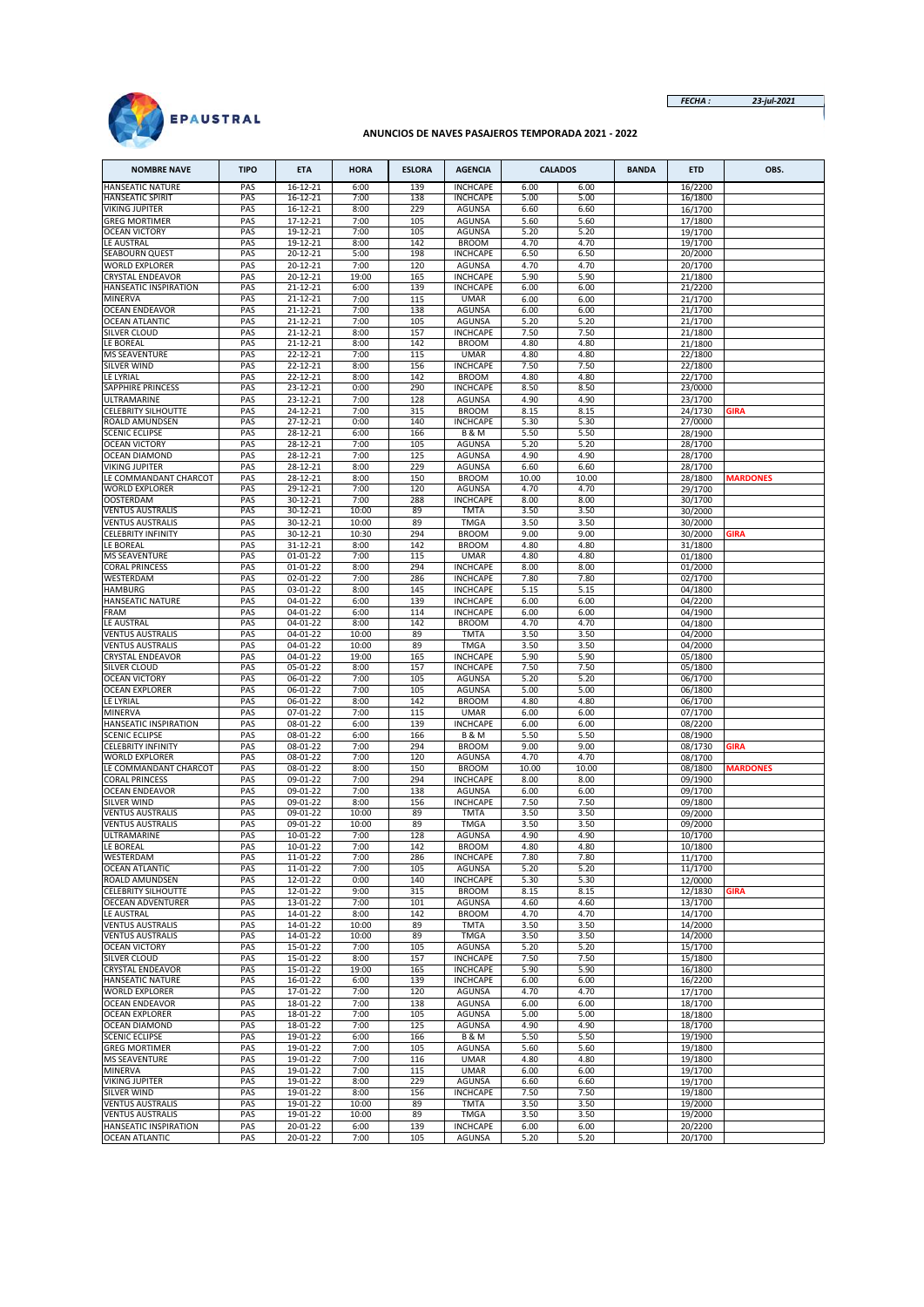

*FECHA : 23-jul-2021*

# **ANUNCIOS DE NAVES PASAJEROS TEMPORADA 2021 - 2022**

| <b>NOMBRE NAVE</b>                                 | <b>TIPO</b> | <b>ETA</b>           | <b>HORA</b>    | <b>ESLORA</b> | <b>AGENCIA</b>                     |               | <b>CALADOS</b> | <b>BANDA</b> | <b>ETD</b>         | OBS.            |
|----------------------------------------------------|-------------|----------------------|----------------|---------------|------------------------------------|---------------|----------------|--------------|--------------------|-----------------|
| <b>HANSEATIC NATURE</b>                            | PAS         | 16-12-21             | 6:00           | 139           | <b>INCHCAPE</b>                    | 6.00          | 6.00           |              | 16/2200            |                 |
| <b>HANSEATIC SPIRIT</b>                            | PAS<br>PAS  | 16-12-21<br>16-12-21 | 7:00<br>8:00   | 138<br>229    | <b>INCHCAPE</b><br><b>AGUNSA</b>   | 5.00<br>6.60  | 5.00<br>6.60   |              | 16/1800            |                 |
| VIKING JUPITER<br><b>GREG MORTIMER</b>             | PAS         | 17-12-21             | 7:00           | 105           | <b>AGUNSA</b>                      | 5.60          | 5.60           |              | 16/1700<br>17/1800 |                 |
| <b>OCEAN VICTORY</b>                               | PAS         | 19-12-21             | 7:00           | 105           | <b>AGUNSA</b>                      | 5.20          | 5.20           |              | 19/1700            |                 |
| LE AUSTRAL                                         | PAS         | 19-12-21             | 8:00           | 142           | <b>BROOM</b>                       | 4.70          | 4.70           |              | 19/1700            |                 |
| SEABOURN QUEST<br><b>WORLD EXPLORER</b>            | PAS<br>PAS  | 20-12-21<br>20-12-21 | 5:00<br>7:00   | 198<br>120    | <b>INCHCAPE</b><br><b>AGUNSA</b>   | 6.50<br>4.70  | 6.50<br>4.70   |              | 20/2000<br>20/1700 |                 |
| CRYSTAL ENDEAVOR                                   | PAS         | 20-12-21             | 19:00          | 165           | <b>INCHCAPE</b>                    | 5.90          | 5.90           |              | 21/1800            |                 |
| HANSEATIC INSPIRATION                              | PAS         | 21-12-21             | 6:00           | 139           | <b>INCHCAPE</b>                    | 6.00          | 6.00           |              | 21/2200            |                 |
| <b>MINERVA</b>                                     | PAS         | 21-12-21             | 7:00           | 115           | <b>UMAR</b>                        | 6.00          | 6.00           |              | 21/1700            |                 |
| <b>OCEAN ENDEAVOR</b><br><b>OCEAN ATLANTIC</b>     | PAS<br>PAS  | 21-12-21<br>21-12-21 | 7:00<br>7:00   | 138<br>105    | <b>AGUNSA</b><br><b>AGUNSA</b>     | 6.00<br>5.20  | 6.00<br>5.20   |              | 21/1700<br>21/1700 |                 |
| SILVER CLOUD                                       | PAS         | 21-12-21             | 8:00           | 157           | <b>INCHCAPE</b>                    | 7.50          | 7.50           |              | 21/1800            |                 |
| LE BOREAL                                          | PAS         | 21-12-21             | 8:00           | 142           | <b>BROOM</b>                       | 4.80          | 4.80           |              | 21/1800            |                 |
| <b>MS SEAVENTURE</b>                               | PAS         | 22-12-21             | 7:00           | 115           | <b>UMAR</b>                        | 4.80          | 4.80           |              | 22/1800            |                 |
| SILVER WIND<br>LE LYRIAL                           | PAS<br>PAS  | 22-12-21<br>22-12-21 | 8:00<br>8:00   | 156<br>142    | <b>INCHCAPE</b><br><b>BROOM</b>    | 7.50<br>4.80  | 7.50<br>4.80   |              | 22/1800<br>22/1700 |                 |
| SAPPHIRE PRINCESS                                  | PAS         | 23-12-21             | 0:00           | 290           | <b>INCHCAPE</b>                    | 8.50          | 8.50           |              | 23/0000            |                 |
| ULTRAMARINE                                        | PAS         | 23-12-21             | 7:00           | 128           | <b>AGUNSA</b>                      | 4.90          | 4.90           |              | 23/1700            |                 |
| <b>CELEBRITY SILHOUTTE</b>                         | PAS         | 24-12-21             | 7:00           | 315           | <b>BROOM</b>                       | 8.15          | 8.15           |              | 24/1730            | <b>GIRA</b>     |
| ROALD AMUNDSEN<br><b>SCENIC ECLIPSE</b>            | PAS<br>PAS  | 27-12-21<br>28-12-21 | 0:00<br>6:00   | 140<br>166    | <b>INCHCAPE</b><br><b>B&amp;M</b>  | 5.30<br>5.50  | 5.30<br>5.50   |              | 27/0000<br>28/1900 |                 |
| <b>OCEAN VICTORY</b>                               | PAS         | 28-12-21             | 7:00           | 105           | <b>AGUNSA</b>                      | 5.20          | 5.20           |              | 28/1700            |                 |
| <b>OCEAN DIAMOND</b>                               | PAS         | 28-12-21             | 7:00           | 125           | <b>AGUNSA</b>                      | 4.90          | 4.90           |              | 28/1700            |                 |
| VIKING JUPITER                                     | PAS         | 28-12-21             | 8:00           | 229           | AGUNSA                             | 6.60          | 6.60           |              | 28/1700            |                 |
| LE COMMANDANT CHARCOT<br><b>WORLD EXPLORER</b>     | PAS<br>PAS  | 28-12-21<br>29-12-21 | 8:00<br>7:00   | 150<br>120    | <b>BROOM</b><br><b>AGUNSA</b>      | 10.00<br>4.70 | 10.00<br>4.70  |              | 28/1800<br>29/1700 | <b>MARDONES</b> |
| <b>OOSTERDAM</b>                                   | PAS         | 30-12-21             | 7:00           | 288           | <b>INCHCAPE</b>                    | 8.00          | 8.00           |              | 30/1700            |                 |
| <b>VENTUS AUSTRALIS</b>                            | PAS         | 30-12-21             | 10:00          | 89            | <b>TMTA</b>                        | 3.50          | 3.50           |              | 30/2000            |                 |
| <b>VENTUS AUSTRALIS</b>                            | PAS         | 30-12-21             | 10:00          | 89            | <b>TMGA</b>                        | 3.50          | 3.50           |              | 30/2000            |                 |
| <b>CELEBRITY INFINITY</b><br>LE BOREAL             | PAS<br>PAS  | 30-12-21<br>31-12-21 | 10:30<br>8:00  | 294<br>142    | <b>BROOM</b><br><b>BROOM</b>       | 9.00<br>4.80  | 9.00<br>4.80   |              | 30/2000<br>31/1800 | <b>GIRA</b>     |
| <b>MS SEAVENTURE</b>                               | PAS         | $01 - 01 - 22$       | 7:00           | 115           | <b>UMAR</b>                        | 4.80          | 4.80           |              | 01/1800            |                 |
| <b>CORAL PRINCESS</b>                              | PAS         | 01-01-22             | 8:00           | 294           | <b>INCHCAPE</b>                    | 8.00          | 8.00           |              | 01/2000            |                 |
| WESTERDAM                                          | PAS         | 02-01-22             | 7:00           | 286           | <b>INCHCAPE</b>                    | 7.80          | 7.80           |              | 02/1700            |                 |
| HAMBURG<br>HANSEATIC NATURE                        | PAS<br>PAS  | 03-01-22<br>04-01-22 | 8:00<br>6:00   | 145<br>139    | <b>INCHCAPE</b><br><b>INCHCAPE</b> | 5.15<br>6.00  | 5.15<br>6.00   |              | 04/1800<br>04/2200 |                 |
| FRAM                                               | PAS         | 04-01-22             | 6:00           | 114           | <b>INCHCAPE</b>                    | 6.00          | 6.00           |              | 04/1900            |                 |
| LE AUSTRAL                                         | PAS         | 04-01-22             | 8:00           | 142           | <b>BROOM</b>                       | 4.70          | 4.70           |              | 04/1800            |                 |
| <b>VENTUS AUSTRALIS</b>                            | PAS         | 04-01-22             | 10:00          | 89            | <b>TMTA</b>                        | 3.50          | 3.50           |              | 04/2000            |                 |
| <b>VENTUS AUSTRALIS</b><br><b>CRYSTAL ENDEAVOR</b> | PAS<br>PAS  | 04-01-22<br>04-01-22 | 10:00<br>19:00 | 89<br>165     | <b>TMGA</b><br><b>INCHCAPE</b>     | 3.50<br>5.90  | 3.50<br>5.90   |              | 04/2000<br>05/1800 |                 |
| SILVER CLOUD                                       | PAS         | 05-01-22             | 8:00           | 157           | <b>INCHCAPE</b>                    | 7.50          | 7.50           |              | 05/1800            |                 |
| <b>OCEAN VICTORY</b>                               | PAS         | 06-01-22             | 7:00           | 105           | <b>AGUNSA</b>                      | 5.20          | 5.20           |              | 06/1700            |                 |
| <b>OCEAN EXPLORER</b><br>LE LYRIAL                 | PAS<br>PAS  | 06-01-22<br>06-01-22 | 7:00<br>8:00   | 105<br>142    | <b>AGUNSA</b><br><b>BROOM</b>      | 5.00<br>4.80  | 5.00<br>4.80   |              | 06/1800            |                 |
| MINERVA                                            | PAS         | 07-01-22             | 7:00           | 115           | <b>UMAR</b>                        | 6.00          | 6.00           |              | 06/1700<br>07/1700 |                 |
| HANSEATIC INSPIRATION                              | PAS         | 08-01-22             | 6:00           | 139           | <b>INCHCAPE</b>                    | 6.00          | 6.00           |              | 08/2200            |                 |
| <b>SCENIC ECLIPSE</b>                              | PAS         | 08-01-22             | 6:00           | 166           | <b>B&amp;M</b>                     | 5.50          | 5.50           |              | 08/1900            |                 |
| <b>CELEBRITY INFINITY</b><br><b>WORLD EXPLORER</b> | PAS         | 08-01-22             | 7:00           | 294<br>120    | <b>BROOM</b><br><b>AGUNSA</b>      | 9.00<br>4.70  | 9.00           |              | 08/1730            | GIRA            |
| LE COMMANDANT CHARCOT                              | PAS<br>PAS  | 08-01-22<br>08-01-22 | 7:00<br>8:00   | 150           | <b>BROOM</b>                       | 10.00         | 4.70<br>10.00  |              | 08/1700<br>08/1800 | <b>MARDONES</b> |
| CORAL PRINCESS                                     | PAS         | 09-01-22             | 7:00           | 294           | <b>INCHCAPE</b>                    | 8.00          | 8.00           |              | 09/1900            |                 |
| <b>OCEAN ENDEAVOR</b>                              | PAS         | 09-01-22             | 7:00           | 138           | <b>AGUNSA</b>                      | 6.00          | 6.00           |              | 09/1700            |                 |
| <b>SILVER WIND</b><br><b>VENTUS AUSTRALIS</b>      | PAS<br>PAS  | 09-01-22<br>09-01-22 | 8:00<br>10:00  | 156<br>89     | <b>INCHCAPE</b><br><b>TMTA</b>     | 7.50<br>3.50  | 7.50<br>3.50   |              | 09/1800<br>09/2000 |                 |
| <b>VENTUS AUSTRALIS</b>                            | PAS         | 09-01-22             | 10:00          | 89            | <b>TMGA</b>                        | 3.50          | 3.50           |              | 09/2000            |                 |
| ULTRAMARINE                                        | PAS         | 10-01-22             | 7:00           | 128           | <b>AGUNSA</b>                      | 4.90          | 4.90           |              | 10/1700            |                 |
| LE BOREAL                                          | PAS         | 10-01-22             | 7:00           | 142           | <b>BROOM</b>                       | 4.80          | 4.80           |              | 10/1800            |                 |
| WESTERDAM<br><b>OCEAN ATLANTIC</b>                 | PAS<br>PAS  | 11-01-22<br>11-01-22 | 7:00<br>7:00   | 286<br>105    | <b>INCHCAPE</b><br><b>AGUNSA</b>   | 7.80<br>5.20  | 7.80<br>5.20   |              | 11/1700<br>11/1700 |                 |
| ROALD AMUNDSEN                                     | PAS         | 12-01-22             | 0:00           | 140           | <b>INCHCAPE</b>                    | 5.30          | 5.30           |              | 12/0000            |                 |
| CELEBRITY SILHOUTTE                                | PAS         | 12-01-22             | 9:00           | 315           | <b>BROOM</b>                       | 8.15          | 8.15           |              | 12/1830            | <b>GIRA</b>     |
| <b>OECEAN ADVENTURER</b>                           | PAS         | 13-01-22             | 7:00           | 101           | <b>AGUNSA</b>                      | 4.60          | 4.60           |              | 13/1700            |                 |
| LE AUSTRAL<br><b>VENTUS AUSTRALIS</b>              | PAS<br>PAS  | 14-01-22<br>14-01-22 | 8:00<br>10:00  | 142<br>89     | <b>BROOM</b><br><b>TMTA</b>        | 4.70<br>3.50  | 4.70<br>3.50   |              | 14/1700<br>14/2000 |                 |
| <b>VENTUS AUSTRALIS</b>                            | PAS         | 14-01-22             | 10:00          | 89            | <b>TMGA</b>                        | 3.50          | 3.50           |              | 14/2000            |                 |
| <b>OCEAN VICTORY</b>                               | PAS         | 15-01-22             | 7:00           | 105           | <b>AGUNSA</b>                      | 5.20          | 5.20           |              | 15/1700            |                 |
| SILVER CLOUD<br><b>CRYSTAL ENDEAVOR</b>            | PAS<br>PAS  | 15-01-22<br>15-01-22 | 8:00           | 157           | <b>INCHCAPE</b><br><b>INCHCAPE</b> | 7.50<br>5.90  | 7.50<br>5.90   |              | 15/1800            |                 |
| HANSEATIC NATURE                                   | PAS         | 16-01-22             | 19:00<br>6:00  | 165<br>139    | <b>INCHCAPE</b>                    | 6.00          | 6.00           |              | 16/1800<br>16/2200 |                 |
| WORLD EXPLORER                                     | PAS         | 17-01-22             | 7:00           | 120           | AGUNSA                             | 4.70          | 4.70           |              | 17/1700            |                 |
| <b>OCEAN ENDEAVOR</b>                              | PAS         | 18-01-22             | 7:00           | 138           | <b>AGUNSA</b>                      | 6.00          | 6.00           |              | 18/1700            |                 |
| <b>OCEAN EXPLORER</b><br>OCEAN DIAMOND             | PAS<br>PAS  | 18-01-22<br>18-01-22 | 7:00<br>7:00   | 105<br>125    | AGUNSA<br><b>AGUNSA</b>            | 5.00<br>4.90  | 5.00<br>4.90   |              | 18/1800<br>18/1700 |                 |
| <b>SCENIC ECLIPSE</b>                              | PAS         | 19-01-22             | 6:00           | 166           | <b>B&amp;M</b>                     | 5.50          | 5.50           |              | 19/1900            |                 |
| <b>GREG MORTIMER</b>                               | PAS         | 19-01-22             | 7:00           | 105           | AGUNSA                             | 5.60          | 5.60           |              | 19/1800            |                 |
| <b>MS SEAVENTURE</b>                               | PAS         | 19-01-22             | 7:00           | 116           | <b>UMAR</b>                        | 4.80          | 4.80           |              | 19/1800            |                 |
| <b>MINERVA</b><br>VIKING JUPITER                   | PAS<br>PAS  | 19-01-22<br>19-01-22 | 7:00<br>8:00   | 115<br>229    | <b>UMAR</b><br>AGUNSA              | 6.00<br>6.60  | 6.00<br>6.60   |              | 19/1700<br>19/1700 |                 |
| <b>SILVER WIND</b>                                 | PAS         | 19-01-22             | 8:00           | 156           | <b>INCHCAPE</b>                    | 7.50          | 7.50           |              | 19/1800            |                 |
| <b>VENTUS AUSTRALIS</b>                            | PAS         | 19-01-22             | 10:00          | 89            | <b>TMTA</b>                        | 3.50          | 3.50           |              | 19/2000            |                 |
| <b>VENTUS AUSTRALIS</b>                            | PAS         | 19-01-22             | 10:00          | 89            | <b>TMGA</b>                        | 3.50          | 3.50           |              | 19/2000            |                 |
| HANSEATIC INSPIRATION<br><b>OCEAN ATLANTIC</b>     | PAS<br>PAS  | 20-01-22<br>20-01-22 | 6:00<br>7:00   | 139<br>105    | <b>INCHCAPE</b><br>AGUNSA          | 6.00<br>5.20  | 6.00<br>5.20   |              | 20/2200<br>20/1700 |                 |
|                                                    |             |                      |                |               |                                    |               |                |              |                    |                 |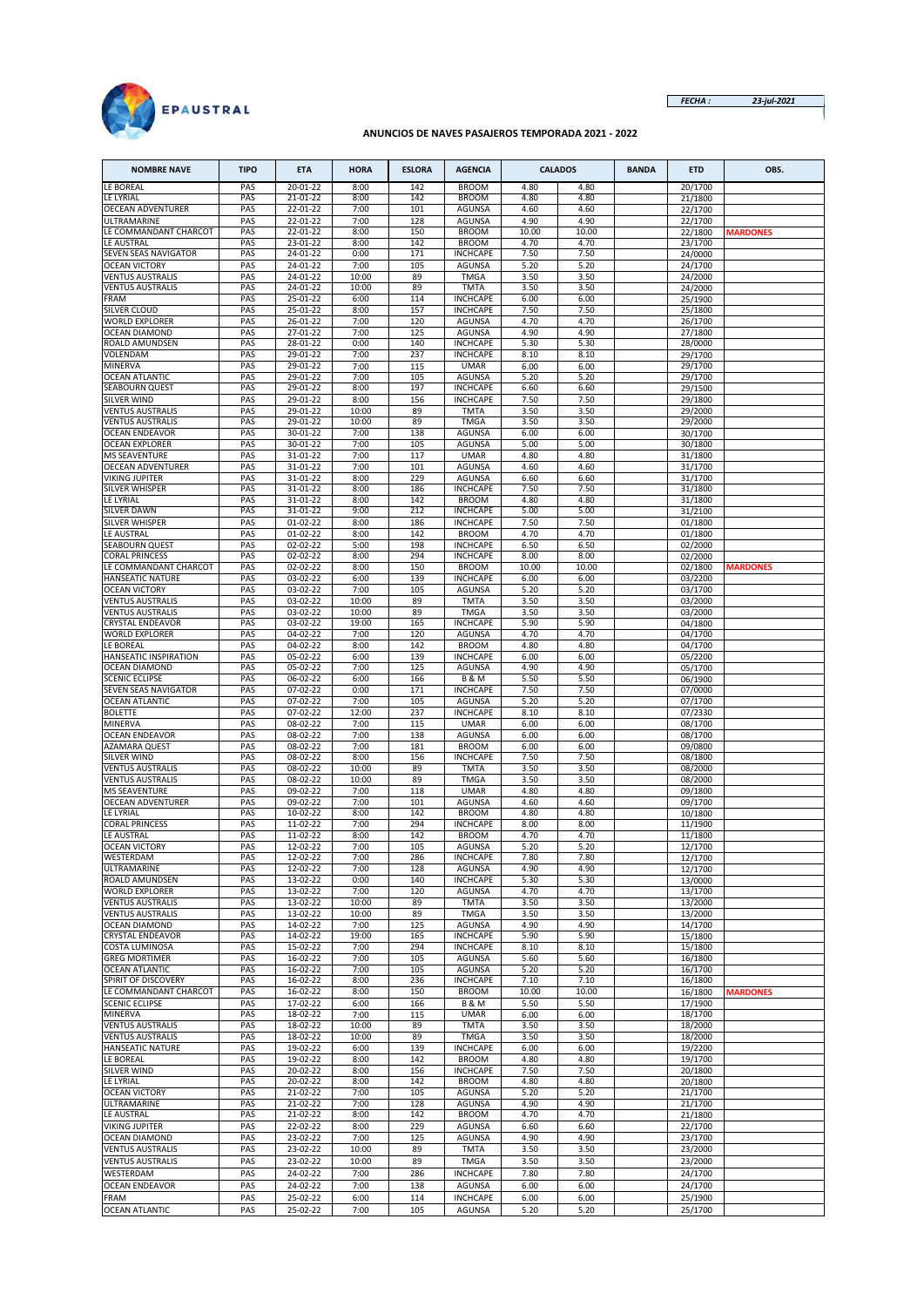

*FECHA : 23-jul-2021*

## **ANUNCIOS DE NAVES PASAJEROS TEMPORADA 2021 - 2022**

| <b>NOMBRE NAVE</b>                                 | <b>TIPO</b> | <b>ETA</b>           | <b>HORA</b>   | <b>ESLORA</b> | <b>AGENCIA</b>                   |               | <b>CALADOS</b> | <b>BANDA</b> | <b>ETD</b>         | OBS.            |
|----------------------------------------------------|-------------|----------------------|---------------|---------------|----------------------------------|---------------|----------------|--------------|--------------------|-----------------|
| LE BOREAL                                          | PAS         | 20-01-22             | 8:00          | 142           | <b>BROOM</b>                     | 4.80          | 4.80           |              | 20/1700            |                 |
| LE LYRIAL                                          | PAS         | 21-01-22             | 8:00          | 142           | <b>BROOM</b>                     | 4.80          | 4.80           |              | 21/1800            |                 |
| <b>OECEAN ADVENTURER</b>                           | PAS         | 22-01-22             | 7:00          | 101           | AGUNSA                           | 4.60          | 4.60           |              | 22/1700            |                 |
| ULTRAMARINE                                        | PAS         | 22-01-22             | 7:00          | 128           | <b>AGUNSA</b>                    | 4.90          | 4.90           |              | 22/1700            |                 |
| LE COMMANDANT CHARCOT<br>LE AUSTRAL                | PAS<br>PAS  | 22-01-22<br>23-01-22 | 8:00<br>8:00  | 150<br>142    | <b>BROOM</b><br><b>BROOM</b>     | 10.00<br>4.70 | 10.00<br>4.70  |              | 22/1800<br>23/1700 | <b>MARDONES</b> |
| SEVEN SEAS NAVIGATOR                               | PAS         | 24-01-22             | 0:00          | 171           | <b>INCHCAPE</b>                  | 7.50          | 7.50           |              | 24/0000            |                 |
| <b>OCEAN VICTORY</b>                               | PAS         | 24-01-22             | 7:00          | 105           | <b>AGUNSA</b>                    | 5.20          | 5.20           |              | 24/1700            |                 |
| <b>VENTUS AUSTRALIS</b>                            | PAS         | 24-01-22             | 10:00         | 89            | <b>TMGA</b>                      | 3.50          | 3.50           |              | 24/2000            |                 |
| <b>VENTUS AUSTRALIS</b>                            | PAS         | 24-01-22             | 10:00         | 89            | <b>TMTA</b>                      | 3.50          | 3.50           |              | 24/2000            |                 |
| FRAM                                               | PAS         | 25-01-22             | 6:00          | 114           | <b>INCHCAPE</b>                  | 6.00          | 6.00           |              | 25/1900            |                 |
| SILVER CLOUD                                       | PAS         | 25-01-22             | 8:00          | 157           | <b>INCHCAPE</b>                  | 7.50          | 7.50           |              | 25/1800            |                 |
| WORLD EXPLORER<br><b>OCEAN DIAMOND</b>             | PAS<br>PAS  | 26-01-22<br>27-01-22 | 7:00<br>7:00  | 120<br>125    | <b>AGUNSA</b><br><b>AGUNSA</b>   | 4.70<br>4.90  | 4.70<br>4.90   |              | 26/1700<br>27/1800 |                 |
| <b>ROALD AMUNDSEN</b>                              | PAS         | 28-01-22             | 0:00          | 140           | <b>INCHCAPE</b>                  | 5.30          | 5.30           |              | 28/0000            |                 |
| VOLENDAM                                           | PAS         | 29-01-22             | 7:00          | 237           | <b>INCHCAPE</b>                  | 8.10          | 8.10           |              | 29/1700            |                 |
| MINERVA                                            | PAS         | 29-01-22             | 7:00          | 115           | <b>UMAR</b>                      | 6.00          | 6.00           |              | 29/1700            |                 |
| <b>OCEAN ATLANTIC</b>                              | PAS         | 29-01-22             | 7:00          | 105           | <b>AGUNSA</b>                    | 5.20          | 5.20           |              | 29/1700            |                 |
| SEABOURN QUEST                                     | PAS         | 29-01-22             | 8:00          | 197           | <b>INCHCAPE</b>                  | 6.60          | 6.60           |              | 29/1500            |                 |
| SILVER WIND                                        | PAS<br>PAS  | 29-01-22<br>29-01-22 | 8:00<br>10:00 | 156<br>89     | <b>INCHCAPE</b><br><b>TMTA</b>   | 7.50<br>3.50  | 7.50<br>3.50   |              | 29/1800            |                 |
| <b>VENTUS AUSTRALIS</b><br><b>VENTUS AUSTRALIS</b> | PAS         | 29-01-22             | 10:00         | 89            | <b>TMGA</b>                      | 3.50          | 3.50           |              | 29/2000<br>29/2000 |                 |
| <b>OCEAN ENDEAVOR</b>                              | PAS         | 30-01-22             | 7:00          | 138           | <b>AGUNSA</b>                    | 6.00          | 6.00           |              | 30/1700            |                 |
| <b>OCEAN EXPLORER</b>                              | PAS         | 30-01-22             | 7:00          | 105           | AGUNSA                           | 5.00          | 5.00           |              | 30/1800            |                 |
| <b>MS SEAVENTURE</b>                               | PAS         | 31-01-22             | 7:00          | 117           | <b>UMAR</b>                      | 4.80          | 4.80           |              | 31/1800            |                 |
| <b>OECEAN ADVENTURER</b>                           | PAS         | 31-01-22             | 7:00          | 101           | <b>AGUNSA</b>                    | 4.60          | 4.60           |              | 31/1700            |                 |
| VIKING JUPITER                                     | PAS         | 31-01-22             | 8:00          | 229           | <b>AGUNSA</b>                    | 6.60          | 6.60           |              | 31/1700            |                 |
| SILVER WHISPER                                     | PAS         | 31-01-22             | 8:00          | 186           | <b>INCHCAPE</b>                  | 7.50          | 7.50           |              | 31/1800            |                 |
| LE LYRIAL<br><b>SILVER DAWN</b>                    | PAS<br>PAS  | 31-01-22<br>31-01-22 | 8:00<br>9:00  | 142<br>212    | <b>BROOM</b><br><b>INCHCAPE</b>  | 4.80<br>5.00  | 4.80<br>5.00   |              | 31/1800<br>31/2100 |                 |
| SILVER WHISPER                                     | PAS         | 01-02-22             | 8:00          | 186           | <b>INCHCAPE</b>                  | 7.50          | 7.50           |              | 01/1800            |                 |
| LE AUSTRAL                                         | PAS         | $01-02-22$           | 8:00          | 142           | <b>BROOM</b>                     | 4.70          | 4.70           |              | 01/1800            |                 |
| SEABOURN QUEST                                     | PAS         | 02-02-22             | 5:00          | 198           | <b>INCHCAPE</b>                  | 6.50          | 6.50           |              | 02/2000            |                 |
| CORAL PRINCESS                                     | PAS         | 02-02-22             | 8:00          | 294           | <b>INCHCAPE</b>                  | 8.00          | 8.00           |              | 02/2000            |                 |
| LE COMMANDANT CHARCOT                              | PAS         | 02-02-22             | 8:00          | 150           | <b>BROOM</b>                     | 10.00         | 10.00          |              | 02/1800            | <b>MARDONES</b> |
| HANSEATIC NATURE                                   | PAS         | 03-02-22             | 6:00          | 139           | <b>INCHCAPE</b>                  | 6.00          | 6.00           |              | 03/2200            |                 |
| <b>OCEAN VICTORY</b><br><b>VENTUS AUSTRALIS</b>    | PAS<br>PAS  | 03-02-22<br>03-02-22 | 7:00<br>10:00 | 105<br>89     | <b>AGUNSA</b><br><b>TMTA</b>     | 5.20<br>3.50  | 5.20<br>3.50   |              | 03/1700<br>03/2000 |                 |
| VENTUS AUSTRALIS                                   | PAS         | 03-02-22             | 10:00         | 89            | <b>TMGA</b>                      | 3.50          | 3.50           |              | 03/2000            |                 |
| CRYSTAL ENDEAVOR                                   | PAS         | 03-02-22             | 19:00         | 165           | <b>INCHCAPE</b>                  | 5.90          | 5.90           |              | 04/1800            |                 |
| <b>WORLD EXPLORER</b>                              | PAS         | 04-02-22             | 7:00          | 120           | AGUNSA                           | 4.70          | 4.70           |              | 04/1700            |                 |
| LE BOREAL                                          | PAS         | 04-02-22             | 8:00          | 142           | <b>BROOM</b>                     | 4.80          | 4.80           |              | 04/1700            |                 |
| HANSEATIC INSPIRATION                              | PAS         | 05-02-22             | 6:00          | 139           | <b>INCHCAPE</b>                  | 6.00          | 6.00           |              | 05/2200            |                 |
| OCEAN DIAMOND<br><b>SCENIC ECLIPSE</b>             | PAS<br>PAS  | 05-02-22<br>06-02-22 | 7:00<br>6:00  | 125<br>166    | AGUNSA<br><b>B&amp;M</b>         | 4.90<br>5.50  | 4.90<br>5.50   |              | 05/1700            |                 |
| SEVEN SEAS NAVIGATOR                               | PAS         | 07-02-22             | 0:00          | 171           | <b>INCHCAPE</b>                  | 7.50          | 7.50           |              | 06/1900<br>07/0000 |                 |
| <b>OCEAN ATLANTIC</b>                              | PAS         | 07-02-22             | 7:00          | 105           | <b>AGUNSA</b>                    | 5.20          | 5.20           |              | 07/1700            |                 |
| <b>BOLETTE</b>                                     | PAS         | 07-02-22             | 12:00         | 237           | <b>INCHCAPE</b>                  | 8.10          | 8.10           |              | 07/2330            |                 |
| MINERVA                                            | PAS         | 08-02-22             | 7:00          | 115           | <b>UMAR</b>                      | 6.00          | 6.00           |              | 08/1700            |                 |
| <b>OCEAN ENDEAVOR</b>                              | PAS         | 08-02-22             | 7:00          | 138           | <b>AGUNSA</b>                    | 6.00          | 6.00           |              | 08/1700            |                 |
| AZAMARA QUEST                                      | PAS         | 08-02-22             | 7:00          | 181           | <b>BROOM</b>                     | 6.00          | 6.00           |              | 09/0800            |                 |
| <b>SILVER WIND</b><br><b>VENTUS AUSTRALIS</b>      | PAS<br>PAS  | 08-02-22<br>08-02-22 | 8:00<br>10:00 | 156<br>89     | <b>INCHCAPE</b><br><b>TMTA</b>   | 7.50<br>3.50  | 7.50<br>3.50   |              | 08/1800<br>08/2000 |                 |
| VENTUS AUSTRALIS                                   | PAS         | 08-02-22             | 10:00         | 89            | <b>TMGA</b>                      | 3.50          | 3.50           |              | 08/2000            |                 |
| <b>MS SEAVENTURE</b>                               | PAS         | 09-02-22             | 7:00          | 118           | <b>UMAR</b>                      | 4.80          | 4.80           |              | 09/1800            |                 |
| OECEAN ADVENTURER                                  | PAS         | 09-02-22             | 7:00          | 101           | AGUNSA                           | 4.60          | 4.60           |              | 09/1700            |                 |
| LE LYRIAL                                          | PAS         | 10-02-22             | 8:00          | 142           | <b>BROOM</b>                     | 4.80          | 4.80           |              | 10/1800            |                 |
| CORAL PRINCESS                                     | PAS         | 11-02-22             | 7:00          | 294           | <b>INCHCAPE</b>                  | 8.00          | 8.00           |              | 11/1900            |                 |
| LE AUSTRAL                                         | PAS         | 11-02-22             | 8:00          | 142           | <b>BROOM</b>                     | 4.70          | 4.70           |              | 11/1800            |                 |
| <b>OCEAN VICTORY</b><br>WESTERDAM                  | PAS<br>PAS  | 12-02-22<br>12-02-22 | 7:00<br>7:00  | 105<br>286    | <b>AGUNSA</b><br><b>INCHCAPE</b> | 5.20<br>7.80  | 5.20<br>7.80   |              | 12/1700<br>12/1700 |                 |
| ULTRAMARINE                                        | PAS         | 12-02-22             | 7:00          | 128           | <b>AGUNSA</b>                    | 4.90          | 4.90           |              | 12/1700            |                 |
| <b>ROALD AMUNDSEN</b>                              | PAS         | 13-02-22             | 0:00          | 140           | <b>INCHCAPE</b>                  | 5.30          | 5.30           |              | 13/0000            |                 |
| WORLD EXPLORER                                     | PAS         | 13-02-22             | 7:00          | 120           | <b>AGUNSA</b>                    | 4.70          | 4.70           |              | 13/1700            |                 |
| <b>VENTUS AUSTRALIS</b>                            | PAS         | 13-02-22             | 10:00         | 89            | <b>TMTA</b>                      | 3.50          | 3.50           |              | 13/2000            |                 |
| <b>VENTUS AUSTRALIS</b>                            | PAS         | 13-02-22             | 10:00         | 89            | <b>TMGA</b>                      | 3.50          | 3.50           |              | 13/2000            |                 |
| <b>OCEAN DIAMOND</b><br>CRYSTAL ENDEAVOR           | PAS<br>PAS  | 14-02-22<br>14-02-22 | 7:00<br>19:00 | 125<br>165    | <b>AGUNSA</b><br><b>INCHCAPE</b> | 4.90<br>5.90  | 4.90<br>5.90   |              | 14/1700            |                 |
| COSTA LUMINOSA                                     | PAS         | 15-02-22             | 7:00          | 294           | <b>INCHCAPE</b>                  | 8.10          | 8.10           |              | 15/1800<br>15/1800 |                 |
| <b>GREG MORTIMER</b>                               | PAS         | 16-02-22             | 7:00          | 105           | <b>AGUNSA</b>                    | 5.60          | 5.60           |              | 16/1800            |                 |
| <b>OCEAN ATLANTIC</b>                              | PAS         | 16-02-22             | 7:00          | 105           | AGUNSA                           | 5.20          | 5.20           |              | 16/1700            |                 |
| SPIRIT OF DISCOVERY                                | PAS         | 16-02-22             | 8:00          | 236           | <b>INCHCAPE</b>                  | 7.10          | 7.10           |              | 16/1800            |                 |
| LE COMMANDANT CHARCOT                              | PAS         | 16-02-22             | 8:00          | 150           | <b>BROOM</b>                     | 10.00         | 10.00          |              | 16/1800            | <b>MARDONES</b> |
| <b>SCENIC ECLIPSE</b>                              | PAS         | 17-02-22             | 6:00          | 166           | <b>B &amp; M</b>                 | 5.50          | 5.50           |              | 17/1900            |                 |
| MINERVA<br><b>VENTUS AUSTRALIS</b>                 | PAS<br>PAS  | 18-02-22<br>18-02-22 | 7:00<br>10:00 | 115<br>89     | <b>UMAR</b><br><b>TMTA</b>       | 6.00<br>3.50  | 6.00<br>3.50   |              | 18/1700<br>18/2000 |                 |
| <b>VENTUS AUSTRALIS</b>                            | PAS         | 18-02-22             | 10:00         | 89            | <b>TMGA</b>                      | 3.50          | 3.50           |              | 18/2000            |                 |
| HANSEATIC NATURE                                   | PAS         | 19-02-22             | 6:00          | 139           | <b>INCHCAPE</b>                  | 6.00          | 6.00           |              | 19/2200            |                 |
| LE BOREAL                                          | PAS         | 19-02-22             | 8:00          | 142           | <b>BROOM</b>                     | 4.80          | 4.80           |              | 19/1700            |                 |
| <b>SILVER WIND</b>                                 | PAS         | 20-02-22             | 8:00          | 156           | <b>INCHCAPE</b>                  | 7.50          | 7.50           |              | 20/1800            |                 |
| LE LYRIAL                                          | PAS         | 20-02-22             | 8:00          | 142           | <b>BROOM</b>                     | 4.80          | 4.80           |              | 20/1800            |                 |
| <b>OCEAN VICTORY</b>                               | PAS         | 21-02-22             | 7:00          | 105           | AGUNSA                           | 5.20          | 5.20           |              | 21/1700            |                 |
| ULTRAMARINE                                        | PAS         | 21-02-22             | 7:00<br>8:00  | 128<br>142    | <b>AGUNSA</b><br><b>BROOM</b>    | 4.90<br>4.70  | 4.90<br>4.70   |              | 21/1700            |                 |
| LE AUSTRAL<br><b>VIKING JUPITER</b>                | PAS<br>PAS  | 21-02-22<br>22-02-22 | 8:00          | 229           | AGUNSA                           | 6.60          | 6.60           |              | 21/1800<br>22/1700 |                 |
| OCEAN DIAMOND                                      | PAS         | 23-02-22             | 7:00          | 125           | AGUNSA                           | 4.90          | 4.90           |              | 23/1700            |                 |
| <b>VENTUS AUSTRALIS</b>                            | PAS         | 23-02-22             | 10:00         | 89            | <b>TMTA</b>                      | 3.50          | 3.50           |              | 23/2000            |                 |
| <b>VENTUS AUSTRALIS</b>                            | PAS         | 23-02-22             | 10:00         | 89            | <b>TMGA</b>                      | 3.50          | 3.50           |              | 23/2000            |                 |
| WESTERDAM                                          | PAS         | 24-02-22             | 7:00          | 286           | <b>INCHCAPE</b>                  | 7.80          | 7.80           |              | 24/1700            |                 |
| <b>OCEAN ENDEAVOR</b>                              | PAS         | 24-02-22             | 7:00          | 138           | AGUNSA                           | 6.00          | 6.00           |              | 24/1700            |                 |
| FRAM                                               | PAS         | 25-02-22             | 6:00          | 114           | <b>INCHCAPE</b>                  | 6.00          | 6.00           |              | 25/1900            |                 |
| <b>OCEAN ATLANTIC</b>                              | PAS         | 25-02-22             | 7:00          | 105           | AGUNSA                           | 5.20          | 5.20           |              | 25/1700            |                 |